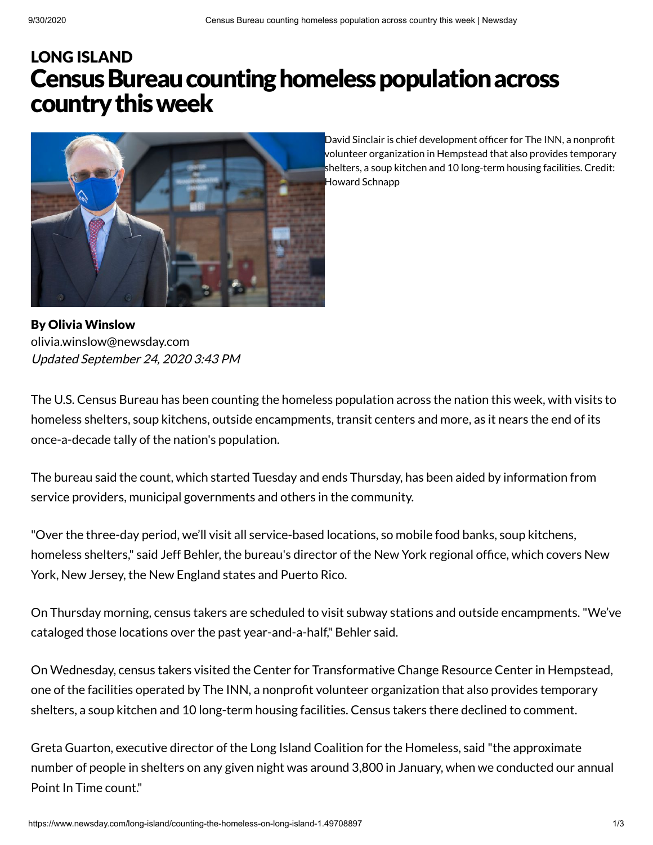## Census Bureau counting homeless population across countrythisweek LONG [ISLAND](https://www.newsday.com/long-island)



By Olivia Winslow Updated September 24, 2020 3:43 PM [olivia.winslow@newsday.com](mailto:olivia.winslow@newsday.com?subject=Census%20Bureau%20counting%20homeless%20population%20across%20country%20this%20week&body=The%20U.S.%20Census%20Bureau%20has%20been%20counting%20the%20homeless%20population%20across%20the%20nation%20this%20week,%20with%20visits%20to%20homeless%20shelters,%20soup%20kitchens,%20outside%20encampments,%20transit%20centers%20and%20more,%20as%20it%20near%0D%0Ahttps://www.newsday.com/long-island/counting-the-homeless-on-long-island-1.49708897)

David Sinclair is chief development officer for The INN, a nonprofit volunteer organization in Hempstead that also provides temporary shelters, a soup kitchen and 10 long-term housing facilities. Credit: Howard Schnapp

The U.S. Census Bureau has been counting the homeless population across the nation this week, with visits to homeless shelters, soup kitchens, outside encampments, transit centers and more, as it nears the end of its once-a-decade tally of the nation's population.

The bureau said the count, which started Tuesday and ends Thursday, has been aided by information from service providers, municipal governments and others in the community.

"Over the three-day period, we'll visit all service-based locations, so mobile food banks, soup kitchens, homeless shelters," said Jeff Behler, the bureau's director of the New York regional office, which covers New York, New Jersey, the New England states and Puerto Rico.

On Thursday morning, census takers are scheduled to visit subway stations and outside encampments."We've cataloged those locations over the past year-and-a-half," Behler said.

On Wednesday, census takers visited the Center for Transformative Change Resource Center in Hempstead, one of the facilities operated by The INN, a nonprofit volunteer organization that also provides temporary shelters, a soup kitchen and 10 long-term housing facilities. Census takers there declined to comment.

Greta Guarton, executive director of the Long Island Coalition for the Homeless, said "the approximate number of people in shelters on any given night was around 3,800 in January, when we conducted our annual Point In Time count."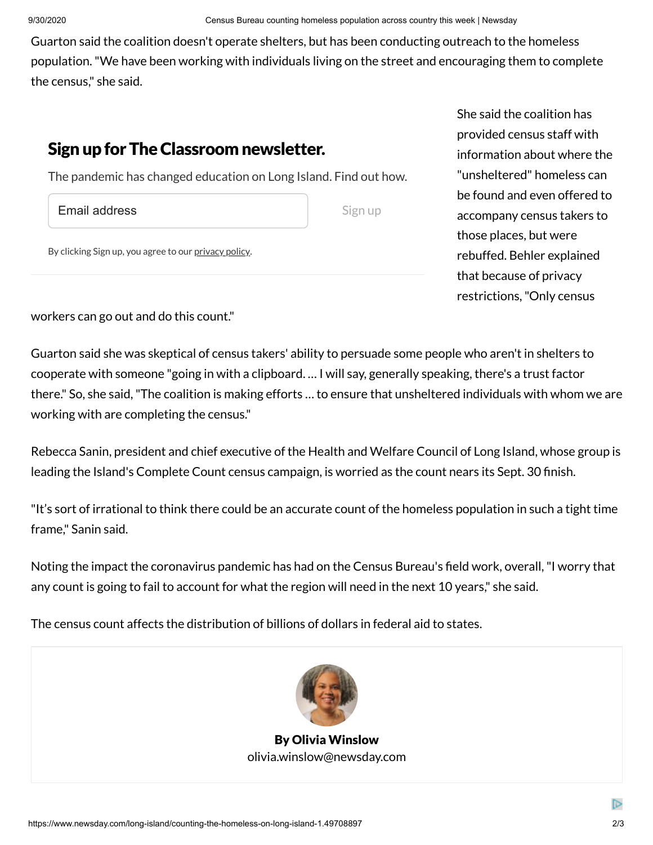She said the coalition has

provided census staff with information about where the "unsheltered" homeless can be found and even offered to

accompany census takers to

rebuffed. Behler explained

those places, but were

that because of privacy restrictions,"Only census

Guarton said the coalition doesn't operate shelters, but has been conducting outreach to the homeless population."We have been working with individuals living on the street and encouraging them to complete the census," she said.

## Sign up for The Classroom newsletter.

The pandemic has changed education on Long Island. Find out how.

Email address

Sign up

By clicking Sign up, you agree to our [privacy](https://www.newsday.com/privacy) policy.

workers can go out and do this count."

Guarton said she was skeptical of census takers' ability to persuade some people who aren't in shelters to cooperate with someone "going in with a clipboard. … I will say, generally speaking, there's a trust factor there." So, she said,"The coalition is making efforts … to ensure that unsheltered individuals with whom we are working with are completing the census."

Rebecca Sanin, president and chief executive of the Health and Welfare Council of Long Island, whose group is leading the Island's Complete Count census campaign, is worried as the count nears its Sept. 30 finish.

"It's sort of irrational to think there could be an accurate count of the homeless population in such a tight time frame," Sanin said.

Noting the impact the coronavirus pandemic has had on the Census Bureau's field work, overall, "I worry that any count is going to fail to account for what the region will need in the next 10 years," she said.

The census count affects the distribution of billions of dollars in federal aid to states.



By Olivia Winslow [olivia.winslow@newsday.com](mailto:olivia.winslow@newsday.com?subject=Census%20Bureau%20counting%20homeless%20population%20across%20country%20this%20week&body=The%20U.S.%20Census%20Bureau%20has%20been%20counting%20the%20homeless%20population%20across%20the%20nation%20this%20week,%20with%20visits%20to%20homeless%20shelters,%20soup%20kitchens,%20outside%20encampments,%20transit%20centers%20and%20more,%20as%20it%20near%0D%0Ahttps://www.newsday.com/long-island/counting-the-homeless-on-long-island-1.49708897)